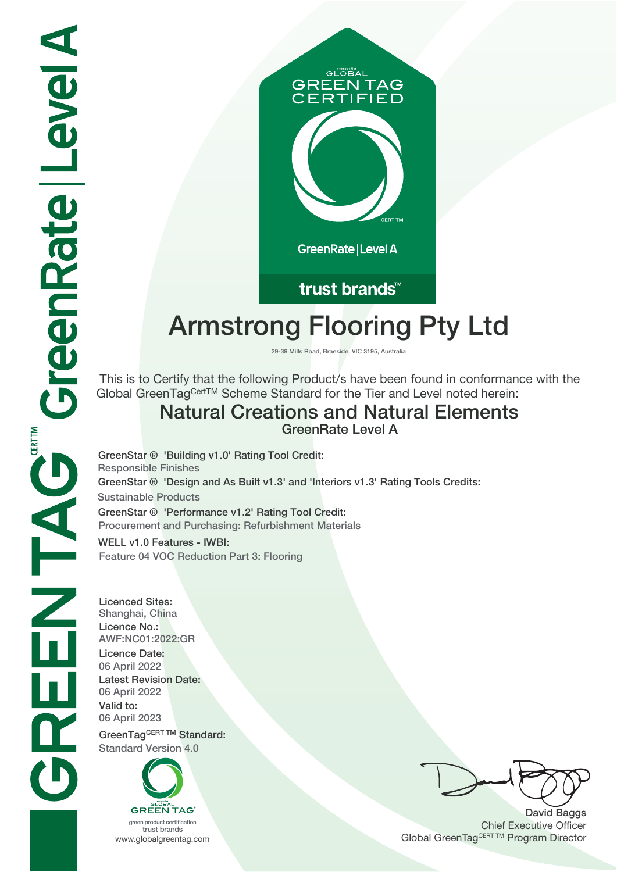

## trust brands<sup>™</sup>

# **Armstrong Flooring Pty Ltd**

**29-39 Mills Road, Braeside, VIC 3195, Australia**

 This is to Certify that the following Product/s have been found in conformance with the Global GreenTagCertTM Scheme Standard for the Tier and Level noted herein:

# **Natural Creations and Natural Elements**

**GreenRate Level A**

**GreenStar ® 'Design and As Built v1.3' and 'Interiors v1.3' Rating Tools Credits: Sustainable Products GreenStar ® 'Performance v1.2' Rating Tool Credit: Procurement and Purchasing: Refurbishment Materials GreenStar ® 'Building v1.0' Rating Tool Credit: Responsible Finishes**

**WELL v1.0 Features - IWBI: Feature 04 VOC Reduction Part 3: Flooring**

**Licenced Sites: Shanghai, China Licence No.: AWF:NC01:2022:GR Licence Date: 06 April 2022 Latest Revision Date: 06 April 2022 Valid to: 06 April 2023**

GreenTagCERT TM Standard: **Standard Version 4.0**



trust brands

**David Baggs** Chief Executive Officer WWW.globalgreentag.com **Program Director** Clobal GreenTagCERT TM Program Director